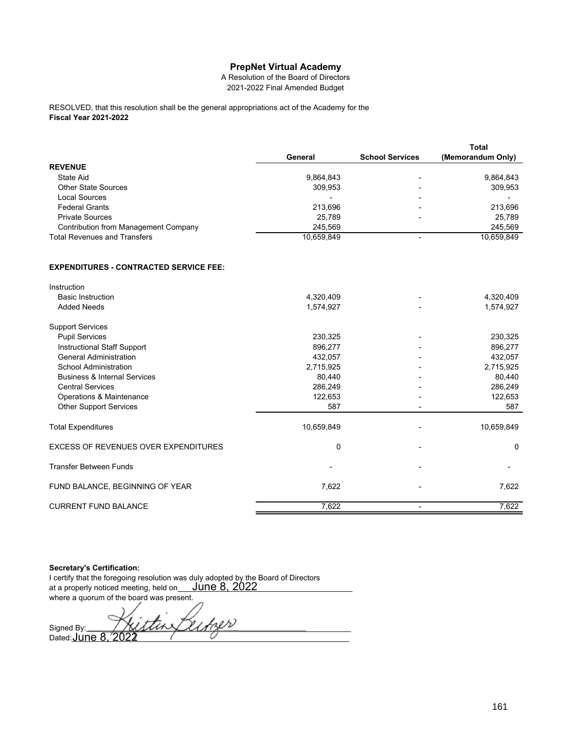# **PrepNet Virtual Academy**

A Resolution of the Board of Directors 2021-2022 Final Amended Budget

#### **Fiscal Year 2021-2022** RESOLVED, that this resolution shall be the general appropriations act of the Academy for the

|                                               |                          |                          | <b>Total</b>      |
|-----------------------------------------------|--------------------------|--------------------------|-------------------|
|                                               | General                  | <b>School Services</b>   | (Memorandum Only) |
| <b>REVENUE</b>                                |                          |                          |                   |
| State Aid                                     | 9,864,843                |                          | 9,864,843         |
| <b>Other State Sources</b>                    | 309,953                  |                          | 309,953           |
| <b>Local Sources</b>                          | $\overline{\phantom{0}}$ |                          |                   |
| <b>Federal Grants</b>                         | 213,696                  |                          | 213,696           |
| <b>Private Sources</b>                        | 25,789                   |                          | 25,789            |
| <b>Contribution from Management Company</b>   | 245,569                  |                          | 245,569           |
| <b>Total Revenues and Transfers</b>           | 10,659,849               | $\overline{\phantom{0}}$ | 10,659,849        |
| <b>EXPENDITURES - CONTRACTED SERVICE FEE:</b> |                          |                          |                   |
| Instruction                                   |                          |                          |                   |
| <b>Basic Instruction</b>                      | 4,320,409                |                          | 4,320,409         |
| <b>Added Needs</b>                            | 1,574,927                |                          | 1,574,927         |
| <b>Support Services</b>                       |                          |                          |                   |
| <b>Pupil Services</b>                         | 230,325                  |                          | 230,325           |
| Instructional Staff Support                   | 896,277                  |                          | 896,277           |
| <b>General Administration</b>                 | 432,057                  |                          | 432,057           |
| <b>School Administration</b>                  | 2,715,925                |                          | 2,715,925         |
| <b>Business &amp; Internal Services</b>       | 80,440                   |                          | 80,440            |
| <b>Central Services</b>                       | 286,249                  |                          | 286,249           |
| Operations & Maintenance                      | 122,653                  |                          | 122,653           |
| <b>Other Support Services</b>                 | 587                      |                          | 587               |
| <b>Total Expenditures</b>                     | 10,659,849               |                          | 10,659,849        |
| <b>EXCESS OF REVENUES OVER EXPENDITURES</b>   | 0                        |                          | $\mathbf 0$       |
| <b>Transfer Between Funds</b>                 |                          |                          |                   |
| FUND BALANCE, BEGINNING OF YEAR               | 7,622                    |                          | 7,622             |
| <b>CURRENT FUND BALANCE</b>                   | 7,622                    | $\overline{\phantom{a}}$ | 7,622             |

### **Secretary's Certification:**

I certify that the foregoing resolution was duly adopted by the Board of Directors at a properly noticed meeting, held on\_\_\_\_<mark>June  $8, 2022$ </mark>\_\_\_\_\_\_\_\_\_\_\_\_\_\_\_\_\_\_\_\_\_\_\_\_ where a quorum of the board was present.

Signed By: Kittin Leifor Dated:\_\_\_\_\_\_\_\_\_\_\_\_\_\_\_\_\_\_\_\_\_\_\_\_\_\_\_\_\_\_\_\_\_\_\_\_\_\_\_\_\_\_\_\_\_\_\_\_\_\_\_\_\_\_\_\_\_\_\_\_\_\_\_\_\_ June 8, 2022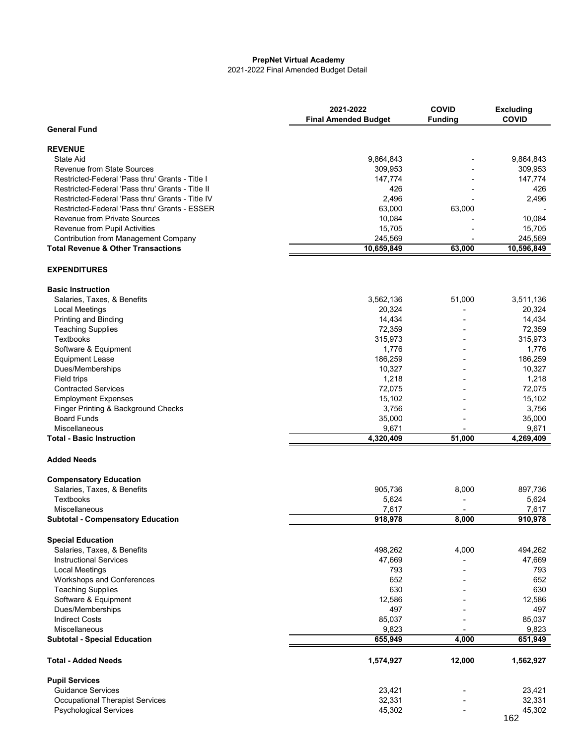### **PrepNet Virtual Academy**

2021-2022 Final Amended Budget Detail

|                                                         | 2021-2022<br><b>COVID</b>   |                | <b>Excluding</b> |  |
|---------------------------------------------------------|-----------------------------|----------------|------------------|--|
|                                                         | <b>Final Amended Budget</b> | <b>Funding</b> | <b>COVID</b>     |  |
| <b>General Fund</b>                                     |                             |                |                  |  |
| <b>REVENUE</b>                                          |                             |                |                  |  |
| <b>State Aid</b>                                        | 9,864,843                   |                | 9,864,843        |  |
| Revenue from State Sources                              | 309,953                     |                | 309,953          |  |
| Restricted-Federal 'Pass thru' Grants - Title I         | 147,774                     |                | 147,774          |  |
| Restricted-Federal 'Pass thru' Grants - Title II        | 426                         |                | 426              |  |
| Restricted-Federal 'Pass thru' Grants - Title IV        | 2,496                       |                | 2,496            |  |
| Restricted-Federal 'Pass thru' Grants - ESSER           | 63,000                      | 63,000         |                  |  |
| <b>Revenue from Private Sources</b>                     | 10,084                      |                | 10,084           |  |
| Revenue from Pupil Activities                           | 15,705                      |                | 15,705           |  |
| <b>Contribution from Management Company</b>             | 245,569                     |                | 245,569          |  |
| <b>Total Revenue &amp; Other Transactions</b>           | 10,659,849                  | 63,000         | 10,596,849       |  |
| <b>EXPENDITURES</b>                                     |                             |                |                  |  |
| <b>Basic Instruction</b>                                |                             |                |                  |  |
| Salaries, Taxes, & Benefits                             | 3,562,136                   | 51,000         | 3,511,136        |  |
| <b>Local Meetings</b>                                   | 20,324                      |                | 20,324           |  |
| <b>Printing and Binding</b>                             | 14,434                      |                | 14,434           |  |
| <b>Teaching Supplies</b>                                | 72,359                      |                | 72,359           |  |
| Textbooks                                               | 315,973                     |                | 315,973          |  |
| Software & Equipment                                    | 1,776                       |                | 1,776            |  |
| <b>Equipment Lease</b>                                  | 186,259                     |                | 186,259          |  |
| Dues/Memberships                                        | 10,327                      |                | 10,327           |  |
| Field trips                                             | 1,218                       |                | 1,218            |  |
| <b>Contracted Services</b>                              | 72,075                      |                | 72,075           |  |
| <b>Employment Expenses</b>                              | 15,102                      |                | 15,102           |  |
| Finger Printing & Background Checks                     | 3,756                       |                | 3,756            |  |
| <b>Board Funds</b>                                      | 35,000                      |                | 35,000           |  |
| Miscellaneous                                           | 9,671                       |                | 9,671            |  |
| <b>Total - Basic Instruction</b>                        | 4,320,409                   | 51,000         | 4,269,409        |  |
| <b>Added Needs</b>                                      |                             |                |                  |  |
| <b>Compensatory Education</b>                           |                             |                |                  |  |
| Salaries, Taxes, & Benefits                             | 905,736                     | 8,000          | 897,736          |  |
| <b>Textbooks</b>                                        | 5,624                       |                | 5,624            |  |
| Miscellaneous                                           | 7,617                       |                | 7,617            |  |
| <b>Subtotal - Compensatory Education</b>                | 918,978                     | 8,000          | 910,978          |  |
|                                                         |                             |                |                  |  |
| <b>Special Education</b><br>Salaries, Taxes, & Benefits | 498,262                     | 4,000          | 494,262          |  |
| <b>Instructional Services</b>                           | 47,669                      |                | 47,669           |  |
| <b>Local Meetings</b>                                   | 793                         |                | 793              |  |
| Workshops and Conferences                               | 652                         |                | 652              |  |
| <b>Teaching Supplies</b>                                | 630                         |                | 630              |  |
| Software & Equipment                                    | 12,586                      |                | 12,586           |  |
| Dues/Memberships                                        | 497                         |                | 497              |  |
| <b>Indirect Costs</b>                                   | 85,037                      |                | 85,037           |  |
| Miscellaneous                                           | 9.823                       |                | 9,823            |  |
| <b>Subtotal - Special Education</b>                     | 655,949                     | 4,000          | 651,949          |  |
| <b>Total - Added Needs</b>                              | 1,574,927                   | 12,000         | 1,562,927        |  |
| <b>Pupil Services</b>                                   |                             |                |                  |  |
| Guidance Services                                       | 23,421                      |                | 23,421           |  |
| <b>Occupational Therapist Services</b>                  | 32,331                      |                | 32,331           |  |
| <b>Psychological Services</b>                           | 45,302                      |                | 45,302           |  |
|                                                         |                             |                | 162              |  |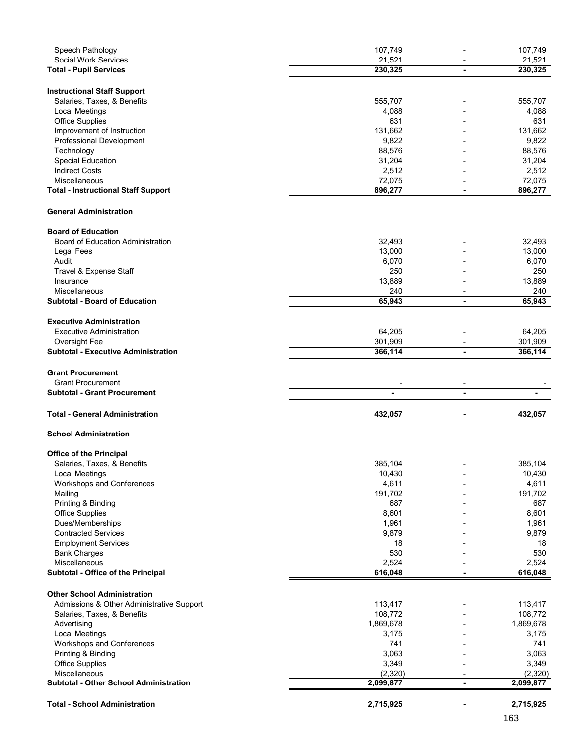| Speech Pathology                                                   | 107,749           |                | 107,749           |
|--------------------------------------------------------------------|-------------------|----------------|-------------------|
| <b>Social Work Services</b><br><b>Total - Pupil Services</b>       | 21,521<br>230,325 |                | 21,521<br>230,325 |
|                                                                    |                   |                |                   |
| <b>Instructional Staff Support</b>                                 |                   |                |                   |
| Salaries, Taxes, & Benefits                                        | 555,707           |                | 555,707           |
| <b>Local Meetings</b>                                              | 4,088             |                | 4,088             |
| <b>Office Supplies</b>                                             | 631               |                | 631               |
| Improvement of Instruction                                         | 131,662           |                | 131,662           |
| Professional Development                                           | 9,822             |                | 9,822             |
| Technology<br><b>Special Education</b>                             | 88,576<br>31,204  |                | 88,576            |
| <b>Indirect Costs</b>                                              | 2,512             |                | 31,204<br>2,512   |
| Miscellaneous                                                      | 72,075            |                | 72,075            |
| <b>Total - Instructional Staff Support</b>                         | 896,277           | ۰              | 896,277           |
| <b>General Administration</b>                                      |                   |                |                   |
|                                                                    |                   |                |                   |
| <b>Board of Education</b><br>Board of Education Administration     | 32,493            |                | 32,493            |
| Legal Fees                                                         | 13,000            |                | 13,000            |
| Audit                                                              | 6,070             |                | 6,070             |
| Travel & Expense Staff                                             | 250               |                | 250               |
| Insurance                                                          | 13,889            |                | 13,889            |
| Miscellaneous                                                      | 240               |                | 240               |
| <b>Subtotal - Board of Education</b>                               | 65,943            | $\blacksquare$ | 65,943            |
|                                                                    |                   |                |                   |
| <b>Executive Administration</b><br><b>Executive Administration</b> | 64,205            |                | 64,205            |
| Oversight Fee                                                      | 301,909           |                | 301,909           |
| <b>Subtotal - Executive Administration</b>                         | 366,114           |                | 366,114           |
|                                                                    |                   |                |                   |
| <b>Grant Procurement</b>                                           |                   |                |                   |
| <b>Grant Procurement</b>                                           |                   |                |                   |
| <b>Subtotal - Grant Procurement</b>                                |                   | $\blacksquare$ |                   |
| <b>Total - General Administration</b>                              | 432,057           |                | 432,057           |
| <b>School Administration</b>                                       |                   |                |                   |
| <b>Office of the Principal</b>                                     |                   |                |                   |
| Salaries, Taxes, & Benefits                                        | 385,104           |                | 385,104           |
| <b>Local Meetings</b>                                              | 10,430            |                | 10,430            |
| Workshops and Conferences                                          | 4,611             |                | 4,611             |
| Mailing                                                            | 191,702           |                | 191,702           |
| Printing & Binding                                                 | 687               |                | 687               |
| <b>Office Supplies</b>                                             | 8,601             |                | 8,601             |
| Dues/Memberships<br><b>Contracted Services</b>                     | 1,961<br>9,879    |                | 1,961             |
| <b>Employment Services</b>                                         | 18                |                | 9,879<br>18       |
| <b>Bank Charges</b>                                                | 530               |                | 530               |
| Miscellaneous                                                      | 2.524             |                | 2,524             |
| Subtotal - Office of the Principal                                 | 616,048           | $\blacksquare$ | 616,048           |
| <b>Other School Administration</b>                                 |                   |                |                   |
| Admissions & Other Administrative Support                          | 113,417           |                | 113,417           |
| Salaries, Taxes, & Benefits                                        | 108,772           |                | 108,772           |
| Advertising                                                        | 1,869,678         |                | 1,869,678         |
| <b>Local Meetings</b>                                              | 3,175             |                | 3,175             |
| Workshops and Conferences                                          | 741               |                | 741               |
| Printing & Binding                                                 | 3,063             |                | 3,063             |
| <b>Office Supplies</b>                                             | 3,349             |                | 3,349             |
| Miscellaneous                                                      | (2,320)           |                | (2,320)           |
| <b>Subtotal - Other School Administration</b>                      | 2,099,877         |                | 2,099,877         |
| <b>Total - School Administration</b>                               | 2,715,925         |                | 2,715,925         |
|                                                                    |                   |                | 163               |
|                                                                    |                   |                |                   |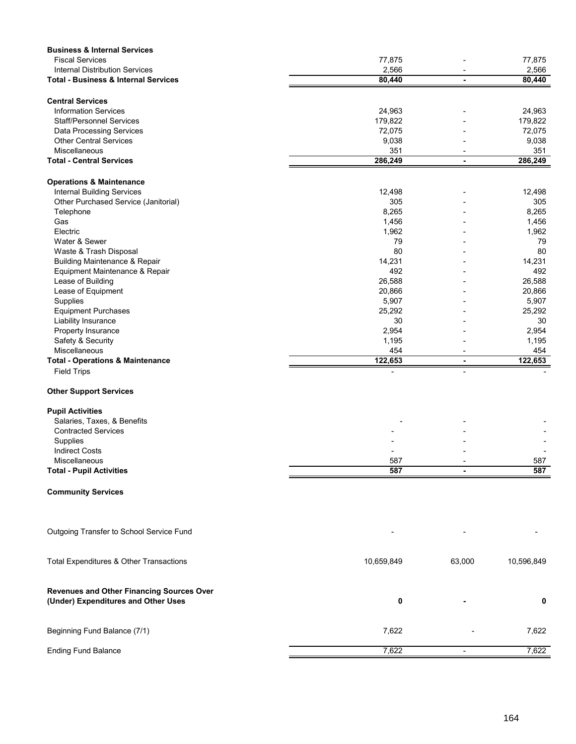| <b>Business &amp; Internal Services</b>          |                  |                          |            |
|--------------------------------------------------|------------------|--------------------------|------------|
| <b>Fiscal Services</b>                           | 77,875           |                          | 77,875     |
| <b>Internal Distribution Services</b>            | 2,566            |                          | 2,566      |
| <b>Total - Business &amp; Internal Services</b>  | 80,440           | $\blacksquare$           | 80,440     |
|                                                  |                  |                          |            |
| <b>Central Services</b>                          |                  |                          |            |
| <b>Information Services</b>                      | 24,963           |                          | 24,963     |
| <b>Staff/Personnel Services</b>                  | 179,822          |                          | 179,822    |
| <b>Data Processing Services</b>                  | 72,075           |                          | 72,075     |
| <b>Other Central Services</b>                    | 9,038            |                          | 9,038      |
| Miscellaneous                                    | 351              |                          | 351        |
| <b>Total - Central Services</b>                  | 286,249          | $\blacksquare$           | 286,249    |
|                                                  |                  |                          |            |
| <b>Operations &amp; Maintenance</b>              |                  |                          |            |
| <b>Internal Building Services</b>                | 12,498           |                          | 12,498     |
| Other Purchased Service (Janitorial)             | 305              |                          | 305        |
| Telephone                                        | 8,265            |                          | 8,265      |
| Gas                                              | 1,456            |                          | 1,456      |
| Electric                                         | 1,962            |                          | 1,962      |
| Water & Sewer                                    | 79               |                          | 79         |
| Waste & Trash Disposal                           | 80               |                          | 80         |
| <b>Building Maintenance &amp; Repair</b>         | 14,231           |                          | 14,231     |
|                                                  | 492              |                          | 492        |
| Equipment Maintenance & Repair                   |                  |                          |            |
| Lease of Building                                | 26,588<br>20,866 |                          | 26,588     |
| Lease of Equipment                               |                  |                          | 20,866     |
| Supplies                                         | 5,907            |                          | 5,907      |
| <b>Equipment Purchases</b>                       | 25,292           |                          | 25,292     |
| Liability Insurance                              | 30               |                          | 30         |
| Property Insurance                               | 2,954            |                          | 2,954      |
| Safety & Security                                | 1,195            |                          | 1,195      |
| Miscellaneous                                    | 454              |                          | 454        |
| <b>Total - Operations &amp; Maintenance</b>      | 122,653          | ٠                        | 122,653    |
| <b>Field Trips</b>                               |                  |                          |            |
|                                                  |                  |                          |            |
| <b>Other Support Services</b>                    |                  |                          |            |
|                                                  |                  |                          |            |
| <b>Pupil Activities</b>                          |                  |                          |            |
| Salaries, Taxes, & Benefits                      |                  |                          |            |
| <b>Contracted Services</b>                       |                  |                          |            |
| Supplies                                         |                  |                          |            |
| <b>Indirect Costs</b>                            |                  |                          |            |
| Miscellaneous                                    | 587              |                          | 587        |
| <b>Total - Pupil Activities</b>                  | 587              | $\blacksquare$           | 587        |
|                                                  |                  |                          |            |
| <b>Community Services</b>                        |                  |                          |            |
|                                                  |                  |                          |            |
|                                                  |                  |                          |            |
|                                                  |                  |                          |            |
| Outgoing Transfer to School Service Fund         |                  |                          |            |
|                                                  |                  |                          |            |
|                                                  |                  |                          |            |
| Total Expenditures & Other Transactions          | 10,659,849       | 63,000                   | 10,596,849 |
|                                                  |                  |                          |            |
|                                                  |                  |                          |            |
| <b>Revenues and Other Financing Sources Over</b> |                  |                          |            |
| (Under) Expenditures and Other Uses              | 0                |                          | 0          |
|                                                  |                  |                          |            |
|                                                  | 7,622            |                          | 7,622      |
| Beginning Fund Balance (7/1)                     |                  |                          |            |
| <b>Ending Fund Balance</b>                       | 7,622            | $\overline{\phantom{a}}$ | 7,622      |
|                                                  |                  |                          |            |